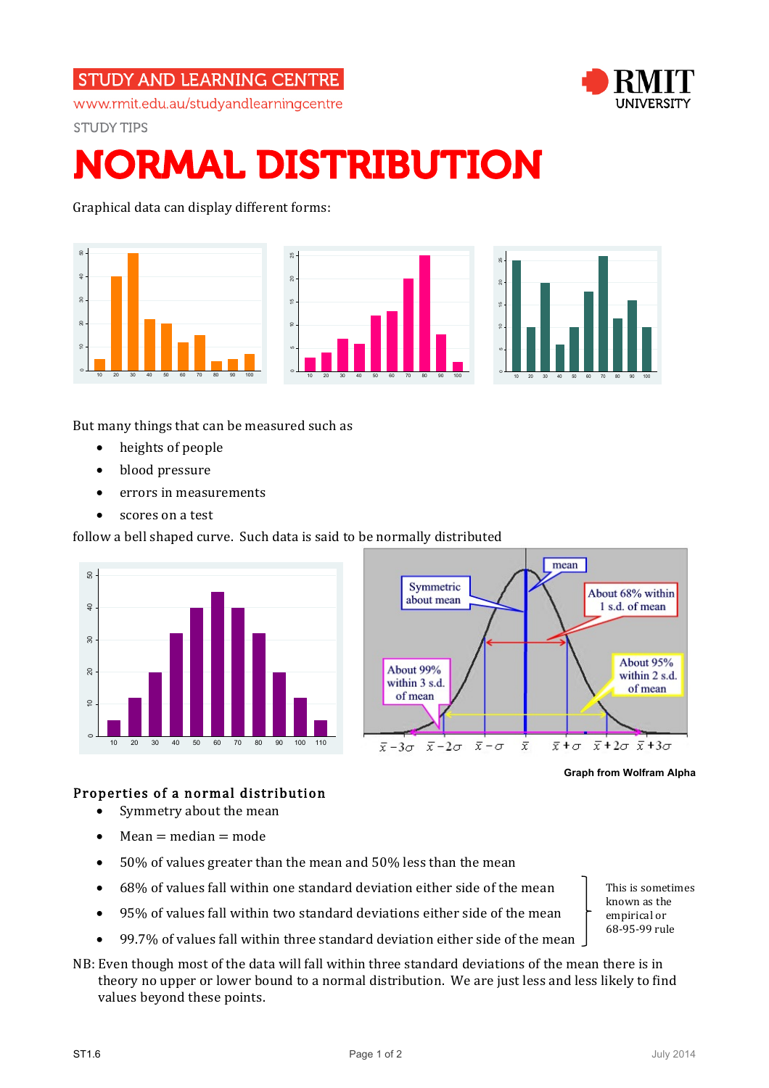## **STUDY AND LEARNING CENTRE**





**STUDY TIPS** 

# NORMAL DISTRIBUTION

Graphical data can display different forms:



But many things that can be measured such as

- heights of people
- blood pressure
- errors in measurements
- scores on a test

follow a bell shaped curve. Such data is said to be normally distributed



**Graph from Wolfram Alpha**

#### Properties of a normal distribution

- Symmetry about the mean
- Mean  $=$  median  $=$  mode
- 50% of values greater than the mean and 50% less than the mean
- 68% of values fall within one standard deviation either side of the mean
- 95% of values fall within two standard deviations either side of the mean
- 99.7% of values fall within three standard deviation either side of the mean
- NB: Even though most of the data will fall within three standard deviations of the mean there is in theory no upper or lower bound to a normal distribution. We are just less and less likely to find values beyond these points.

This is sometimes known as the empirical or 68-95-99 rule